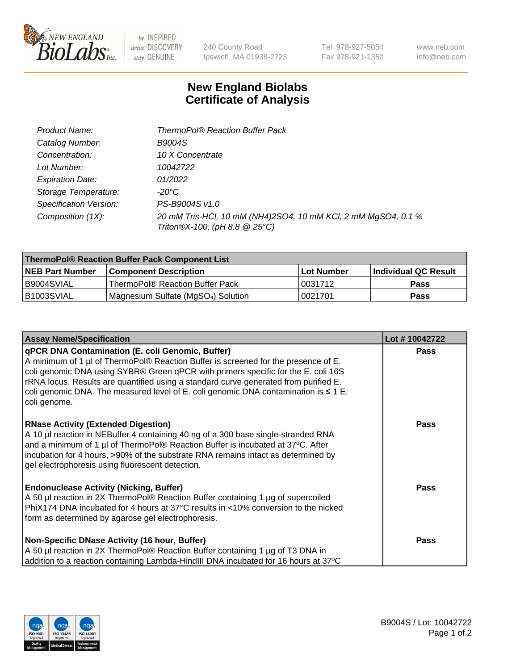

 $be$  INSPIRED drive DISCOVERY stay GENUINE

240 County Road Ipswich, MA 01938-2723

Tel 978-927-5054 Fax 978-921-1350

www.neb.com info@neb.com

## **New England Biolabs Certificate of Analysis**

| Product Name:                 | <b>ThermoPol® Reaction Buffer Pack</b>                                                         |
|-------------------------------|------------------------------------------------------------------------------------------------|
| Catalog Number:               | <b>B9004S</b>                                                                                  |
| Concentration:                | 10 X Concentrate                                                                               |
| Lot Number:                   | 10042722                                                                                       |
| <b>Expiration Date:</b>       | 01/2022                                                                                        |
| Storage Temperature:          | -20°C                                                                                          |
| <b>Specification Version:</b> | PS-B9004S v1.0                                                                                 |
| Composition (1X):             | 20 mM Tris-HCl, 10 mM (NH4)2SO4, 10 mM KCl, 2 mM MgSO4, 0.1 %<br>Triton®X-100, (pH 8.8 @ 25°C) |

| ThermoPol® Reaction Buffer Pack Component List |                                                 |             |                             |  |
|------------------------------------------------|-------------------------------------------------|-------------|-----------------------------|--|
| <b>NEB Part Number</b>                         | <b>Component Description</b>                    | ⊺Lot Number | <b>Individual QC Result</b> |  |
| I B9004SVIAL                                   | ThermoPol® Reaction Buffer Pack                 | 10031712    | <b>Pass</b>                 |  |
| IB1003SVIAL                                    | Magnesium Sulfate (MgSO <sub>4</sub> ) Solution | 10021701    | <b>Pass</b>                 |  |

| <b>Assay Name/Specification</b>                                                                                                                                                                                                                                                                                                                                                                                                 | Lot #10042722 |
|---------------------------------------------------------------------------------------------------------------------------------------------------------------------------------------------------------------------------------------------------------------------------------------------------------------------------------------------------------------------------------------------------------------------------------|---------------|
| qPCR DNA Contamination (E. coli Genomic, Buffer)<br>A minimum of 1 µl of ThermoPol® Reaction Buffer is screened for the presence of E.<br>coli genomic DNA using SYBR® Green qPCR with primers specific for the E. coli 16S<br>rRNA locus. Results are quantified using a standard curve generated from purified E.<br>coli genomic DNA. The measured level of E. coli genomic DNA contamination is $\leq 1$ E.<br>coli genome. | <b>Pass</b>   |
| <b>RNase Activity (Extended Digestion)</b><br>A 10 µl reaction in NEBuffer 4 containing 40 ng of a 300 base single-stranded RNA<br>and a minimum of 1 µl of ThermoPol® Reaction Buffer is incubated at 37°C. After<br>incubation for 4 hours, >90% of the substrate RNA remains intact as determined by<br>gel electrophoresis using fluorescent detection.                                                                     | <b>Pass</b>   |
| <b>Endonuclease Activity (Nicking, Buffer)</b><br>A 50 µl reaction in 2X ThermoPol® Reaction Buffer containing 1 µg of supercoiled<br>PhiX174 DNA incubated for 4 hours at 37°C results in <10% conversion to the nicked<br>form as determined by agarose gel electrophoresis.                                                                                                                                                  | <b>Pass</b>   |
| Non-Specific DNase Activity (16 hour, Buffer)<br>A 50 µl reaction in 2X ThermoPol® Reaction Buffer containing 1 µg of T3 DNA in<br>addition to a reaction containing Lambda-HindIII DNA incubated for 16 hours at 37°C                                                                                                                                                                                                          | <b>Pass</b>   |